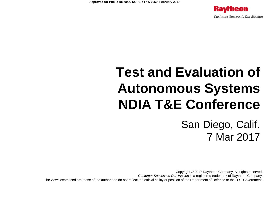

# **Test and Evaluation of Autonomous Systems NDIA T&E Conference**

San Diego, Calif. 7 Mar 2017

Copyright © 2017 Raytheon Company. All rights reserved. *Customer Success Is Our Mission* is a registered trademark of Raytheon Company. The views expressed are those of the author and do not reflect the official policy or position of the Department of Defense or the U.S. Government.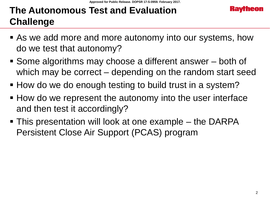### **The Autonomous Test and Evaluation Challenge**

- **As we add more and more autonomy into our systems, how** do we test that autonomy?
- Some algorithms may choose a different answer both of which may be correct – depending on the random start seed
- How do we do enough testing to build trust in a system?
- How do we represent the autonomy into the user interface and then test it accordingly?
- This presentation will look at one example the DARPA Persistent Close Air Support (PCAS) program

**Kavrheo**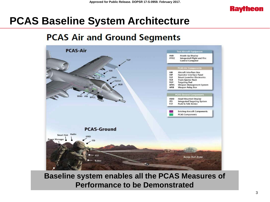

### **PCAS Baseline System Architecture**

#### **PCAS Air and Ground Segments**



#### **Baseline system enables all the PCAS Measures of Performance to be Demonstrated**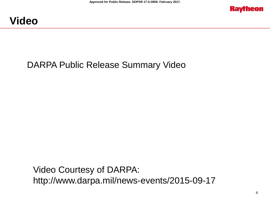



#### DARPA Public Release Summary Video

Video Courtesy of DARPA: http://www.darpa.mil/news-events/2015-09-17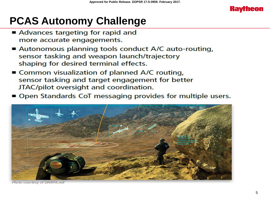

# **PCAS Autonomy Challenge**

- Advances targeting for rapid and more accurate engagements.
- Autonomous planning tools conduct A/C auto-routing, sensor tasking and weapon launch/trajectory shaping for desired terminal effects.
- Common visualization of planned A/C routing, sensor tasking and target engagement for better JTAC/pilot oversight and coordination.
- Open Standards CoT messaging provides for multiple users.



Photo courtesy of DARPA.mi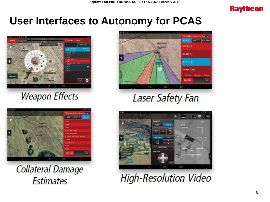

### **User Interfaces to Autonomy for PCAS**



#### **Weapon Effects**



**Collateral Damage Estimates** 



**Laser Safety Fan** 



**High-Resolution Video**